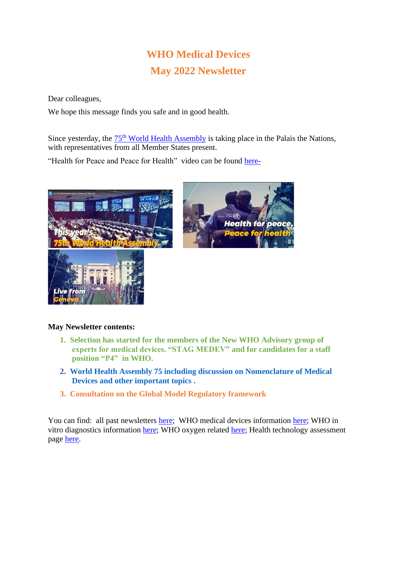# **WHO Medical Devices May 2022 Newsletter**

Dear colleagues,

We hope this message finds you safe and in good health.

Since yesterday, the  $75<sup>th</sup>$  [World Health Assembly](https://apps.who.int/gb/e/e_WHA75.html) is taking place in the Palais the Nations, with representatives from all Member States present.

"Health for Peace and Peace for Health" video can be found [here-](https://www.youtube.com/watch?v=-ZTcKiuhthw)





## **May Newsletter contents:**

- **1. Selection has started for the members of the New WHO Advisory group of experts for medical devices. "STAG MEDEV" and for candidates for a staff position "P4" in WHO.**
- **2. World Health Assembly 75 including discussion on Nomenclature of Medical Devices and other important topics .**
- **3. Consultation on the Global Model Regulatory framework**

You can find: all past newsletters [here;](https://www.who.int/teams/health-product-policy-and-standards/assistive-and-medical-technology/medical-devices/newsletter) WHO medical devices information [here;](https://www.who.int/health-topics/medical-devices#tab=tab_1) WHO in vitro diagnostics information [here;](https://www.who.int/health-topics/in-vitro-diagnostics#tab=tab_1) WHO oxygen related [here;](https://www.who.int/health-topics/oxygen#tab=tab_1) Health technology assessment page [here.](https://www.who.int/health-topics/health-technology-assessment#tab=tab_1)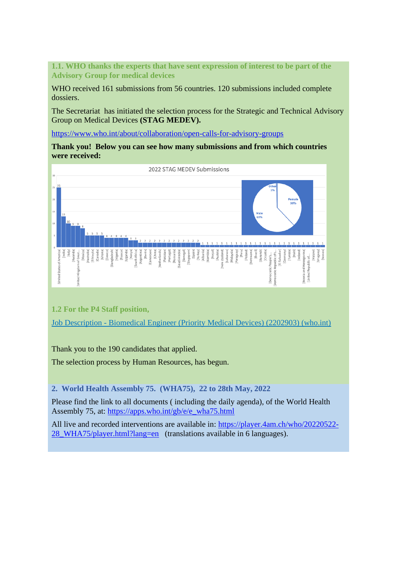**1.1. WHO thanks the experts that have sent expression of interest to be part of the Advisory Group for medical devices**

WHO received 161 submissions from 56 countries. 120 submissions included complete dossiers.

The Secretariat has initiated the selection process for the Strategic and Technical Advisory Group on Medical Devices **(STAG MEDEV).**

<https://www.who.int/about/collaboration/open-calls-for-advisory-groups>

**Thank you! Below you can see how many submissions and from which countries were received:** 



**1.2 For the P4 Staff position,**

Job Description - [Biomedical Engineer \(Priority Medical Devices\) \(2202903\) \(who.int\)](https://careers.who.int/careersection/ex/jobdetail.ftl?job=2202903&tz=GMT%2B02%3A00&tzname=Europe%2FBerlin)

Thank you to the 190 candidates that applied.

The selection process by Human Resources, has begun.

**2. World Health Assembly 75. (WHA75), 22 to 28th May, 2022**

Please find the link to all documents ( including the daily agenda), of the World Health Assembly 75, at: [https://apps.who.int/gb/e/e\\_wha75.html](https://apps.who.int/gb/e/e_wha75.html)

All live and recorded interventions are available in: [https://player.4am.ch/who/20220522-](https://player.4am.ch/who/20220522-28_WHA75/player.html?lang=en) [28\\_WHA75/player.html?lang=en](https://player.4am.ch/who/20220522-28_WHA75/player.html?lang=en) (translations available in 6 languages).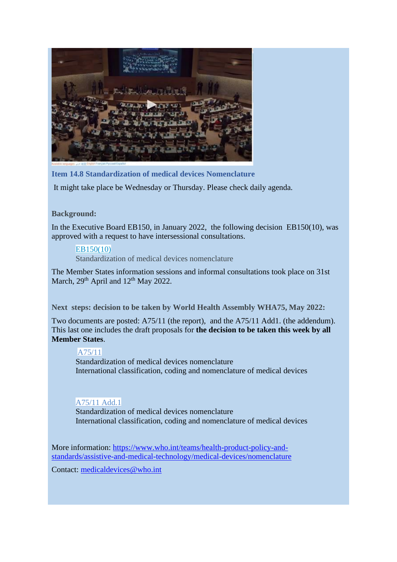

**Item 14.8 Standardization of medical devices Nomenclature** 

It might take place be Wednesday or Thursday. Please check daily agenda.

#### **Background:**

In the Executive Board EB150, in January 2022, the following decision EB150(10), was approved with a request to have intersessional consultations.

#### [EB150\(10\)](https://apps.who.int/gb/ebwha/pdf_files/EB150/B150(10)-en.pdf)

Standardization of medical devices nomenclature

The Member States information sessions and informal consultations took place on 31st March,  $29<sup>th</sup>$  April and  $12<sup>th</sup>$  May 2022.

**Next steps: decision to be taken by World Health Assembly WHA75, May 2022:** 

Two documents are posted: A75/11 (the report), and the A75/11 Add1. (the addendum). This last one includes the draft proposals for **the decision to be taken this week by all Member States**.

### [A75/11](https://apps.who.int/gb/ebwha/pdf_files/WHA75/A75_11-en.pdf)

Standardization of medical devices nomenclature International classification, coding and nomenclature of medical devices

## [A75/11](https://apps.who.int/gb/ebwha/pdf_files/WHA75/A75_11Add1-en.pdf) Add.1

Standardization of medical devices nomenclature International classification, coding and nomenclature of medical devices

More information: [https://www.who.int/teams/health-product-policy-and](https://www.who.int/teams/health-product-policy-and-standards/assistive-and-medical-technology/medical-devices/nomenclature)[standards/assistive-and-medical-technology/medical-devices/nomenclature](https://www.who.int/teams/health-product-policy-and-standards/assistive-and-medical-technology/medical-devices/nomenclature)

Contact: [medicaldevices@who.int](mailto:medicaldevices@who.int)